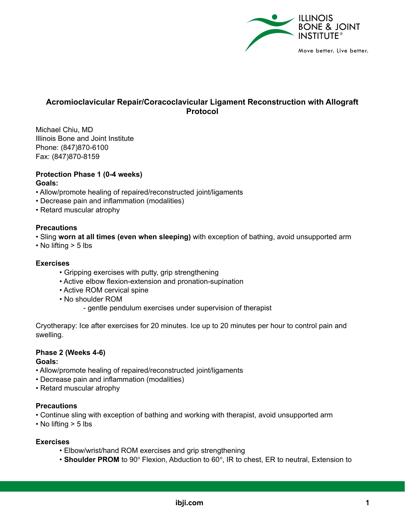

## **Acromioclavicular Repair/Coracoclavicular Ligament Reconstruction with Allograft Protocol**

Michael Chiu, MD Illinois Bone and Joint Institute Phone: (847)870-6100 Fax: (847)870-8159

# **Protection Phase 1 (0-4 weeks)**

## **Goals:**

- Allow/promote healing of repaired/reconstructed joint/ligaments
- Decrease pain and inflammation (modalities)
- Retard muscular atrophy

## **Precautions**

• Sling **worn at all times (even when sleeping)** with exception of bathing, avoid unsupported arm

• No lifting > 5 lbs

## **Exercises**

- Gripping exercises with putty, grip strengthening
- Active elbow flexion-extension and pronation-supination
- Active ROM cervical spine
- No shoulder ROM
	- gentle pendulum exercises under supervision of therapist

Cryotherapy: Ice after exercises for 20 minutes. Ice up to 20 minutes per hour to control pain and swelling.

## **Phase 2 (Weeks 4-6)**

## **Goals:**

- Allow/promote healing of repaired/reconstructed joint/ligaments
- Decrease pain and inflammation (modalities)
- Retard muscular atrophy

## **Precautions**

- Continue sling with exception of bathing and working with therapist, avoid unsupported arm
- No lifting > 5 lbs

## **Exercises**

- Elbow/wrist/hand ROM exercises and grip strengthening
- Shoulder PROM to 90° Flexion, Abduction to 60°, IR to chest, ER to neutral, Extension to